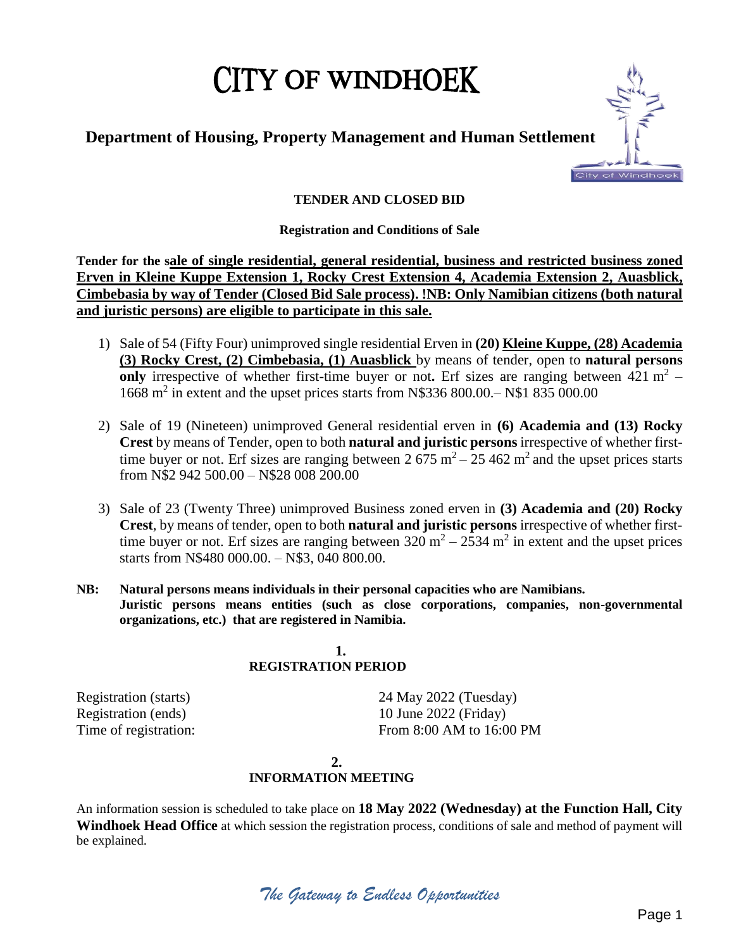# **CITY OF WINDHOEK**

# **Department of Housing, Property Management and Human Settlement**



# **TENDER AND CLOSED BID**

# **Registration and Conditions of Sale**

**Tender for the sale of single residential, general residential, business and restricted business zoned Erven in Kleine Kuppe Extension 1, Rocky Crest Extension 4, Academia Extension 2, Auasblick, Cimbebasia by way of Tender (Closed Bid Sale process). !NB: Only Namibian citizens (both natural and juristic persons) are eligible to participate in this sale.**

- 1) Sale of 54 (Fifty Four) unimproved single residential Erven in **(20) Kleine Kuppe, (28) Academia (3) Rocky Crest, (2) Cimbebasia, (1) Auasblick** by means of tender, open to **natural persons**  only irrespective of whether first-time buyer or not. Erf sizes are ranging between  $421 \text{ m}^2$  -1668 m<sup>2</sup> in extent and the upset prices starts from N\$336 800.00.– N\$1 835 000.00
- 2) Sale of 19 (Nineteen) unimproved General residential erven in **(6) Academia and (13) Rocky Crest** by means of Tender, open to both **natural and juristic persons** irrespective of whether firsttime buyer or not. Erf sizes are ranging between  $2675 \text{ m}^2 - 25462 \text{ m}^2$  and the upset prices starts from N\$2 942 500.00 – N\$28 008 200.00
- 3) Sale of 23 (Twenty Three) unimproved Business zoned erven in **(3) Academia and (20) Rocky Crest**, by means of tender, open to both **natural and juristic persons** irrespective of whether firsttime buyer or not. Erf sizes are ranging between  $320 \text{ m}^2 - 2534 \text{ m}^2$  in extent and the upset prices starts from N\$480 000.00. – N\$3, 040 800.00.
- **NB: Natural persons means individuals in their personal capacities who are Namibians. Juristic persons means entities (such as close corporations, companies, non-governmental organizations, etc.) that are registered in Namibia.**

# **1. REGISTRATION PERIOD**

Registration (starts) 24 May 2022 (Tuesday) Registration (ends) 10 June 2022 (Friday) Time of registration: From 8:00 AM to 16:00 PM

# **2.**

# **INFORMATION MEETING**

An information session is scheduled to take place on **18 May 2022 (Wednesday) at the Function Hall, City Windhoek Head Office** at which session the registration process, conditions of sale and method of payment will be explained.

*The Gateway to Endless Opportunities*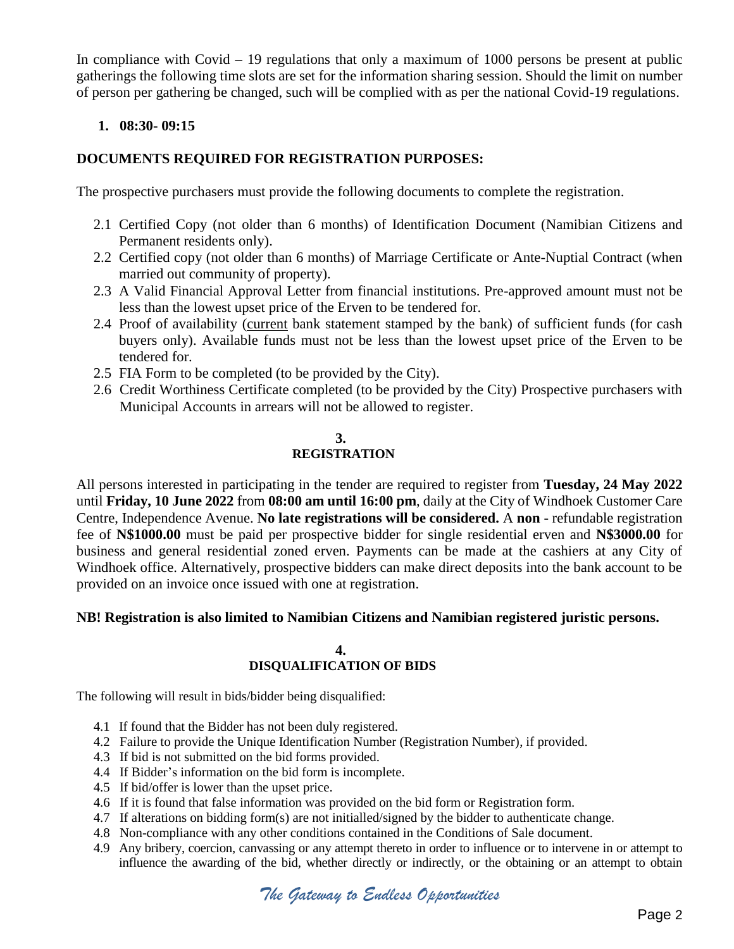In compliance with Covid  $-19$  regulations that only a maximum of 1000 persons be present at public gatherings the following time slots are set for the information sharing session. Should the limit on number of person per gathering be changed, such will be complied with as per the national Covid-19 regulations.

# **1. 08:30- 09:15**

# **DOCUMENTS REQUIRED FOR REGISTRATION PURPOSES:**

The prospective purchasers must provide the following documents to complete the registration.

- 2.1 Certified Copy (not older than 6 months) of Identification Document (Namibian Citizens and Permanent residents only).
- 2.2 Certified copy (not older than 6 months) of Marriage Certificate or Ante-Nuptial Contract (when married out community of property).
- 2.3 A Valid Financial Approval Letter from financial institutions. Pre-approved amount must not be less than the lowest upset price of the Erven to be tendered for.
- 2.4 Proof of availability (current bank statement stamped by the bank) of sufficient funds (for cash buyers only). Available funds must not be less than the lowest upset price of the Erven to be tendered for.
- 2.5 FIA Form to be completed (to be provided by the City).
- 2.6 Credit Worthiness Certificate completed (to be provided by the City) Prospective purchasers with Municipal Accounts in arrears will not be allowed to register.

# **3. REGISTRATION**

All persons interested in participating in the tender are required to register from **Tuesday, 24 May 2022** until **Friday, 10 June 2022** from **08:00 am until 16:00 pm**, daily at the City of Windhoek Customer Care Centre, Independence Avenue. **No late registrations will be considered.** A **non -** refundable registration fee of **N\$1000.00** must be paid per prospective bidder for single residential erven and **N\$3000.00** for business and general residential zoned erven. Payments can be made at the cashiers at any City of Windhoek office. Alternatively, prospective bidders can make direct deposits into the bank account to be provided on an invoice once issued with one at registration.

# **NB! Registration is also limited to Namibian Citizens and Namibian registered juristic persons.**

## **4. DISQUALIFICATION OF BIDS**

The following will result in bids/bidder being disqualified:

- 4.1 If found that the Bidder has not been duly registered.
- 4.2 Failure to provide the Unique Identification Number (Registration Number), if provided.
- 4.3 If bid is not submitted on the bid forms provided.
- 4.4 If Bidder's information on the bid form is incomplete.
- 4.5 If bid/offer is lower than the upset price.
- 4.6 If it is found that false information was provided on the bid form or Registration form.
- 4.7 If alterations on bidding form(s) are not initialled/signed by the bidder to authenticate change.
- 4.8 Non-compliance with any other conditions contained in the Conditions of Sale document.
- 4.9 Any bribery, coercion, canvassing or any attempt thereto in order to influence or to intervene in or attempt to influence the awarding of the bid, whether directly or indirectly, or the obtaining or an attempt to obtain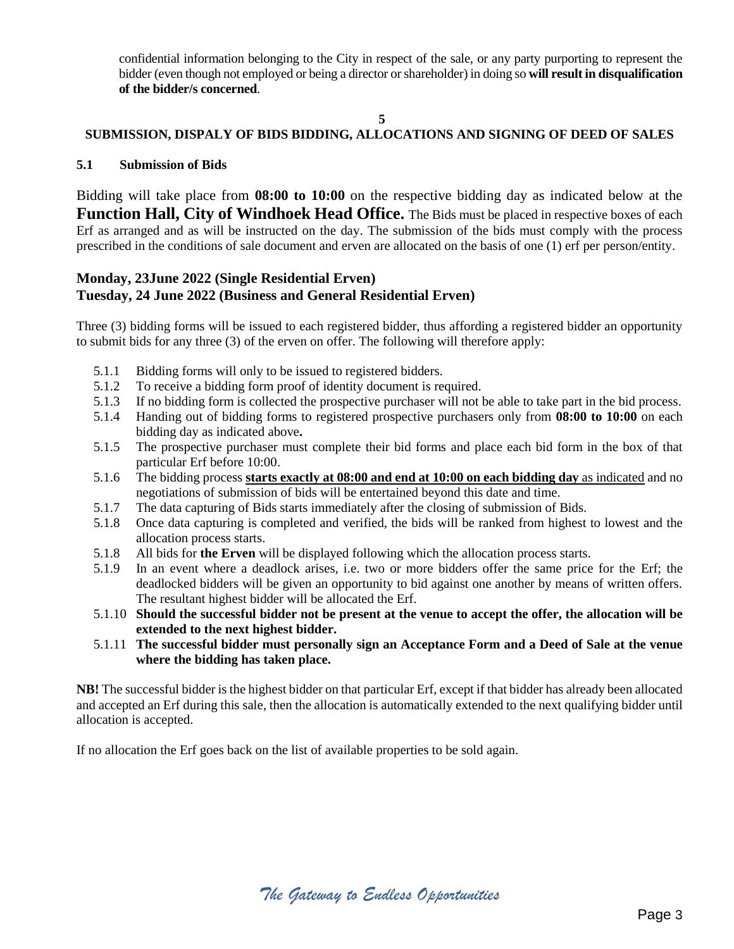confidential information belonging to the City in respect of the sale, or any party purporting to represent the bidder (even though not employed or being a director or shareholder) in doing so **will result in disqualification of the bidder/s concerned**.

# **SUBMISSION, DISPALY OF BIDS BIDDING, ALLOCATIONS AND SIGNING OF DEED OF SALES**

## **5.1 Submission of Bids**

Bidding will take place from **08:00 to 10:00** on the respective bidding day as indicated below at the **Function Hall, City of Windhoek Head Office.** The Bids must be placed in respective boxes of each Erf as arranged and as will be instructed on the day. The submission of the bids must comply with the process prescribed in the conditions of sale document and erven are allocated on the basis of one (1) erf per person/entity.

# **Monday, 23June 2022 (Single Residential Erven) Tuesday, 24 June 2022 (Business and General Residential Erven)**

Three (3) bidding forms will be issued to each registered bidder, thus affording a registered bidder an opportunity to submit bids for any three (3) of the erven on offer. The following will therefore apply:

- 5.1.1 Bidding forms will only to be issued to registered bidders.
- 5.1.2 To receive a bidding form proof of identity document is required.
- 5.1.3 If no bidding form is collected the prospective purchaser will not be able to take part in the bid process.
- 5.1.4 Handing out of bidding forms to registered prospective purchasers only from **08:00 to 10:00** on each bidding day as indicated above**.**
- 5.1.5 The prospective purchaser must complete their bid forms and place each bid form in the box of that particular Erf before 10:00.
- 5.1.6 The bidding process **starts exactly at 08:00 and end at 10:00 on each bidding day** as indicated and no negotiations of submission of bids will be entertained beyond this date and time.
- 5.1.7 The data capturing of Bids starts immediately after the closing of submission of Bids.
- 5.1.8 Once data capturing is completed and verified, the bids will be ranked from highest to lowest and the allocation process starts.
- 5.1.8 All bids for **the Erven** will be displayed following which the allocation process starts.
- 5.1.9 In an event where a deadlock arises, i.e. two or more bidders offer the same price for the Erf; the deadlocked bidders will be given an opportunity to bid against one another by means of written offers. The resultant highest bidder will be allocated the Erf.
- 5.1.10 **Should the successful bidder not be present at the venue to accept the offer, the allocation will be extended to the next highest bidder.**
- 5.1.11 **The successful bidder must personally sign an Acceptance Form and a Deed of Sale at the venue where the bidding has taken place.**

**NB!** The successful bidder is the highest bidder on that particular Erf, except if that bidder has already been allocated and accepted an Erf during this sale, then the allocation is automatically extended to the next qualifying bidder until allocation is accepted.

If no allocation the Erf goes back on the list of available properties to be sold again.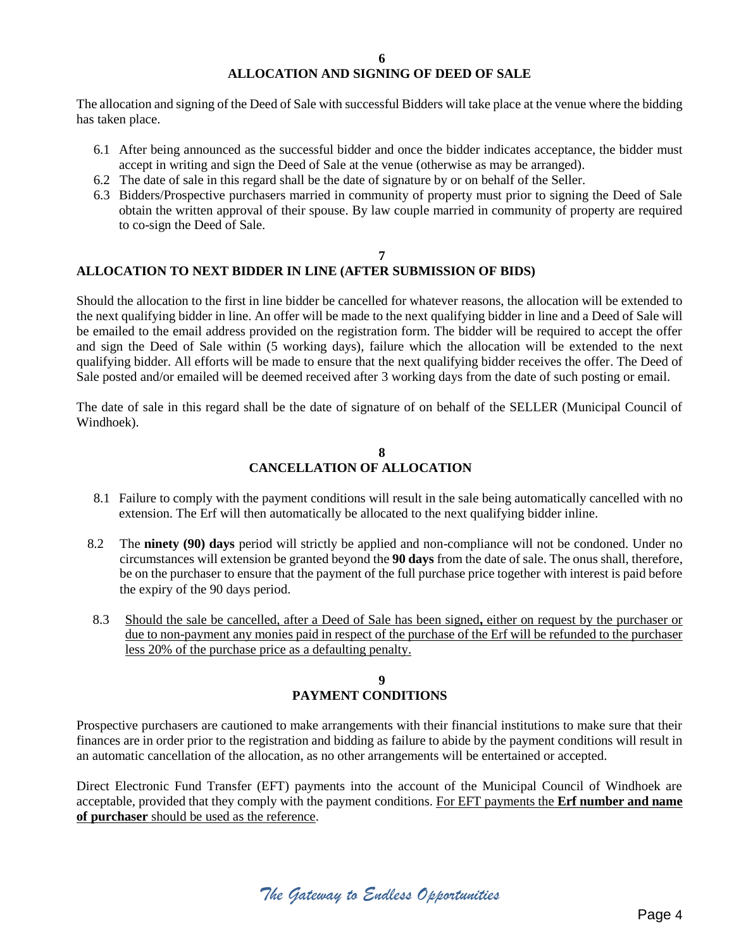#### **6**

# **ALLOCATION AND SIGNING OF DEED OF SALE**

The allocation and signing of the Deed of Sale with successful Bidders will take place at the venue where the bidding has taken place.

- 6.1 After being announced as the successful bidder and once the bidder indicates acceptance, the bidder must accept in writing and sign the Deed of Sale at the venue (otherwise as may be arranged).
- 6.2 The date of sale in this regard shall be the date of signature by or on behalf of the Seller.
- 6.3 Bidders/Prospective purchasers married in community of property must prior to signing the Deed of Sale obtain the written approval of their spouse. By law couple married in community of property are required to co-sign the Deed of Sale.

#### **7 ALLOCATION TO NEXT BIDDER IN LINE (AFTER SUBMISSION OF BIDS)**

Should the allocation to the first in line bidder be cancelled for whatever reasons, the allocation will be extended to the next qualifying bidder in line. An offer will be made to the next qualifying bidder in line and a Deed of Sale will be emailed to the email address provided on the registration form. The bidder will be required to accept the offer and sign the Deed of Sale within (5 working days), failure which the allocation will be extended to the next qualifying bidder. All efforts will be made to ensure that the next qualifying bidder receives the offer. The Deed of Sale posted and/or emailed will be deemed received after 3 working days from the date of such posting or email.

The date of sale in this regard shall be the date of signature of on behalf of the SELLER (Municipal Council of Windhoek).

#### **8 CANCELLATION OF ALLOCATION**

- 8.1 Failure to comply with the payment conditions will result in the sale being automatically cancelled with no extension. The Erf will then automatically be allocated to the next qualifying bidder inline.
- 8.2 The **ninety (90) days** period will strictly be applied and non-compliance will not be condoned. Under no circumstances will extension be granted beyond the **90 days** from the date of sale. The onus shall, therefore, be on the purchaser to ensure that the payment of the full purchase price together with interest is paid before the expiry of the 90 days period.
- 8.3 Should the sale be cancelled, after a Deed of Sale has been signed**,** either on request by the purchaser or due to non-payment any monies paid in respect of the purchase of the Erf will be refunded to the purchaser less 20% of the purchase price as a defaulting penalty.

# **9 PAYMENT CONDITIONS**

Prospective purchasers are cautioned to make arrangements with their financial institutions to make sure that their finances are in order prior to the registration and bidding as failure to abide by the payment conditions will result in an automatic cancellation of the allocation, as no other arrangements will be entertained or accepted.

Direct Electronic Fund Transfer (EFT) payments into the account of the Municipal Council of Windhoek are acceptable, provided that they comply with the payment conditions. For EFT payments the **Erf number and name of purchaser** should be used as the reference.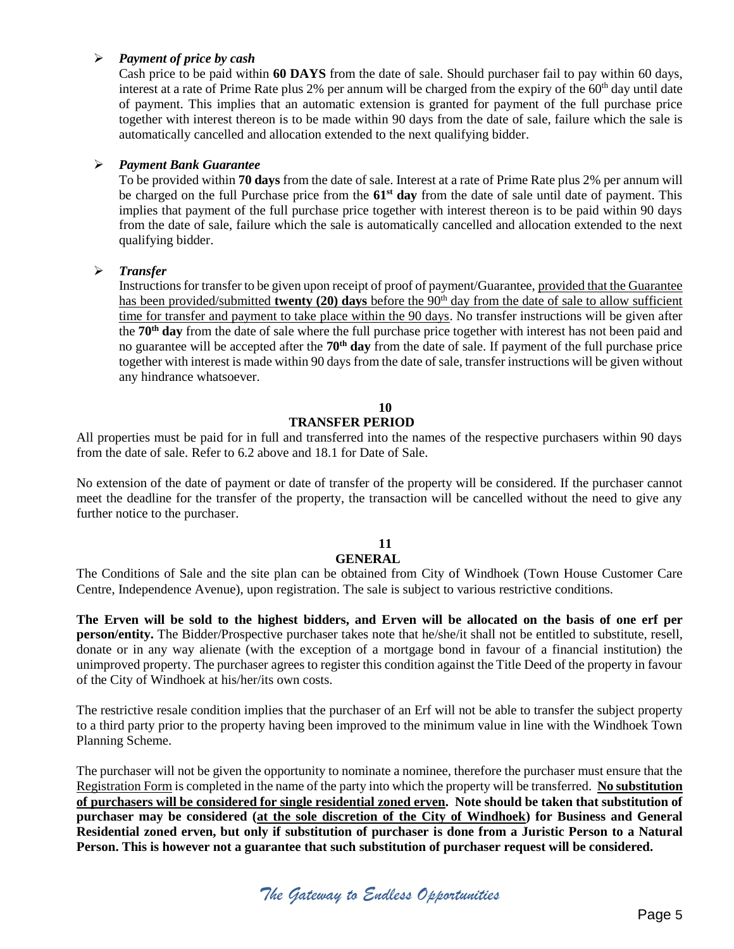#### *Payment of price by cash*

Cash price to be paid within **60 DAYS** from the date of sale. Should purchaser fail to pay within 60 days, interest at a rate of Prime Rate plus 2% per annum will be charged from the expiry of the  $60<sup>th</sup>$  day until date of payment. This implies that an automatic extension is granted for payment of the full purchase price together with interest thereon is to be made within 90 days from the date of sale, failure which the sale is automatically cancelled and allocation extended to the next qualifying bidder.

## *Payment Bank Guarantee*

To be provided within **70 days** from the date of sale. Interest at a rate of Prime Rate plus 2% per annum will be charged on the full Purchase price from the **61st day** from the date of sale until date of payment. This implies that payment of the full purchase price together with interest thereon is to be paid within 90 days from the date of sale, failure which the sale is automatically cancelled and allocation extended to the next qualifying bidder.

## *Transfer*

Instructions for transfer to be given upon receipt of proof of payment/Guarantee, provided that the Guarantee has been provided/submitted **twenty (20) days** before the 90<sup>th</sup> day from the date of sale to allow sufficient time for transfer and payment to take place within the 90 days. No transfer instructions will be given after the **70th day** from the date of sale where the full purchase price together with interest has not been paid and no guarantee will be accepted after the **70th day** from the date of sale. If payment of the full purchase price together with interest is made within 90 days from the date of sale, transfer instructions will be given without any hindrance whatsoever.

# **10**

## **TRANSFER PERIOD**

All properties must be paid for in full and transferred into the names of the respective purchasers within 90 days from the date of sale. Refer to 6.2 above and 18.1 for Date of Sale.

No extension of the date of payment or date of transfer of the property will be considered. If the purchaser cannot meet the deadline for the transfer of the property, the transaction will be cancelled without the need to give any further notice to the purchaser.

# **11**

# **GENERAL**

The Conditions of Sale and the site plan can be obtained from City of Windhoek (Town House Customer Care Centre, Independence Avenue), upon registration. The sale is subject to various restrictive conditions.

**The Erven will be sold to the highest bidders, and Erven will be allocated on the basis of one erf per person/entity.** The Bidder/Prospective purchaser takes note that he/she/it shall not be entitled to substitute, resell, donate or in any way alienate (with the exception of a mortgage bond in favour of a financial institution) the unimproved property. The purchaser agrees to register this condition against the Title Deed of the property in favour of the City of Windhoek at his/her/its own costs.

The restrictive resale condition implies that the purchaser of an Erf will not be able to transfer the subject property to a third party prior to the property having been improved to the minimum value in line with the Windhoek Town Planning Scheme.

The purchaser will not be given the opportunity to nominate a nominee, therefore the purchaser must ensure that the Registration Form is completed in the name of the party into which the property will be transferred. **No substitution of purchasers will be considered for single residential zoned erven. Note should be taken that substitution of purchaser may be considered (at the sole discretion of the City of Windhoek) for Business and General Residential zoned erven, but only if substitution of purchaser is done from a Juristic Person to a Natural Person. This is however not a guarantee that such substitution of purchaser request will be considered.**

*The Gateway to Endless Opportunities*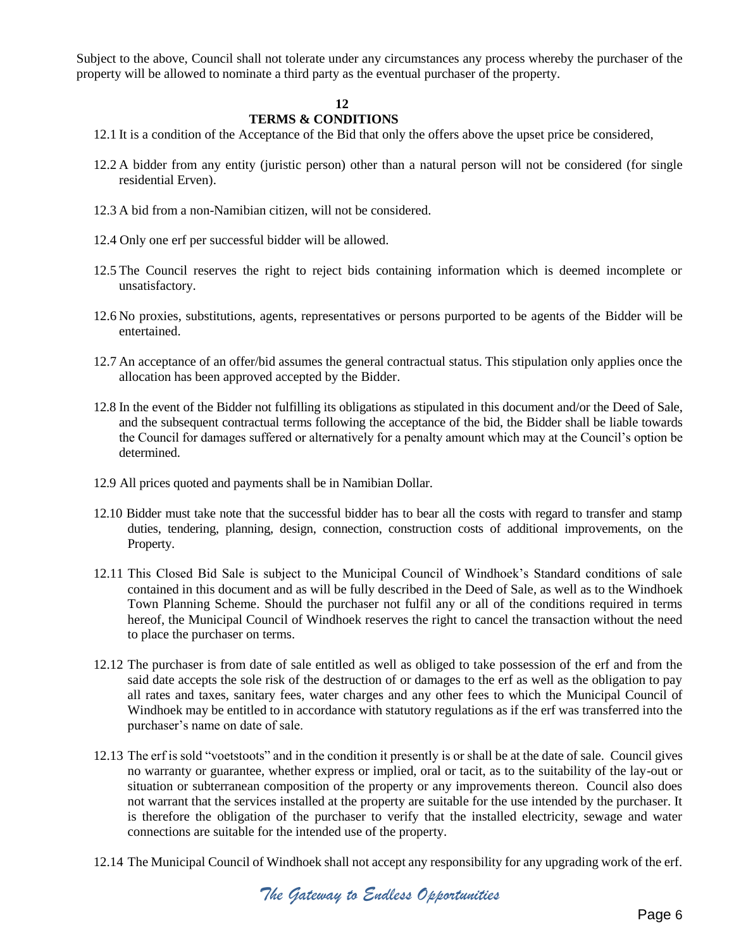Subject to the above, Council shall not tolerate under any circumstances any process whereby the purchaser of the property will be allowed to nominate a third party as the eventual purchaser of the property.

#### **12**

#### **TERMS & CONDITIONS**

- 12.1 It is a condition of the Acceptance of the Bid that only the offers above the upset price be considered,
- 12.2 A bidder from any entity (juristic person) other than a natural person will not be considered (for single residential Erven).
- 12.3 A bid from a non-Namibian citizen, will not be considered.
- 12.4 Only one erf per successful bidder will be allowed.
- 12.5 The Council reserves the right to reject bids containing information which is deemed incomplete or unsatisfactory.
- 12.6 No proxies, substitutions, agents, representatives or persons purported to be agents of the Bidder will be entertained.
- 12.7 An acceptance of an offer/bid assumes the general contractual status. This stipulation only applies once the allocation has been approved accepted by the Bidder.
- 12.8 In the event of the Bidder not fulfilling its obligations as stipulated in this document and/or the Deed of Sale, and the subsequent contractual terms following the acceptance of the bid, the Bidder shall be liable towards the Council for damages suffered or alternatively for a penalty amount which may at the Council's option be determined.
- 12.9 All prices quoted and payments shall be in Namibian Dollar.
- 12.10 Bidder must take note that the successful bidder has to bear all the costs with regard to transfer and stamp duties, tendering, planning, design, connection, construction costs of additional improvements, on the Property.
- 12.11 This Closed Bid Sale is subject to the Municipal Council of Windhoek's Standard conditions of sale contained in this document and as will be fully described in the Deed of Sale, as well as to the Windhoek Town Planning Scheme. Should the purchaser not fulfil any or all of the conditions required in terms hereof, the Municipal Council of Windhoek reserves the right to cancel the transaction without the need to place the purchaser on terms.
- 12.12 The purchaser is from date of sale entitled as well as obliged to take possession of the erf and from the said date accepts the sole risk of the destruction of or damages to the erf as well as the obligation to pay all rates and taxes, sanitary fees, water charges and any other fees to which the Municipal Council of Windhoek may be entitled to in accordance with statutory regulations as if the erf was transferred into the purchaser's name on date of sale.
- 12.13 The erf is sold "voetstoots" and in the condition it presently is or shall be at the date of sale. Council gives no warranty or guarantee, whether express or implied, oral or tacit, as to the suitability of the lay-out or situation or subterranean composition of the property or any improvements thereon. Council also does not warrant that the services installed at the property are suitable for the use intended by the purchaser. It is therefore the obligation of the purchaser to verify that the installed electricity, sewage and water connections are suitable for the intended use of the property.
- 12.14 The Municipal Council of Windhoek shall not accept any responsibility for any upgrading work of the erf.

*The Gateway to Endless Opportunities*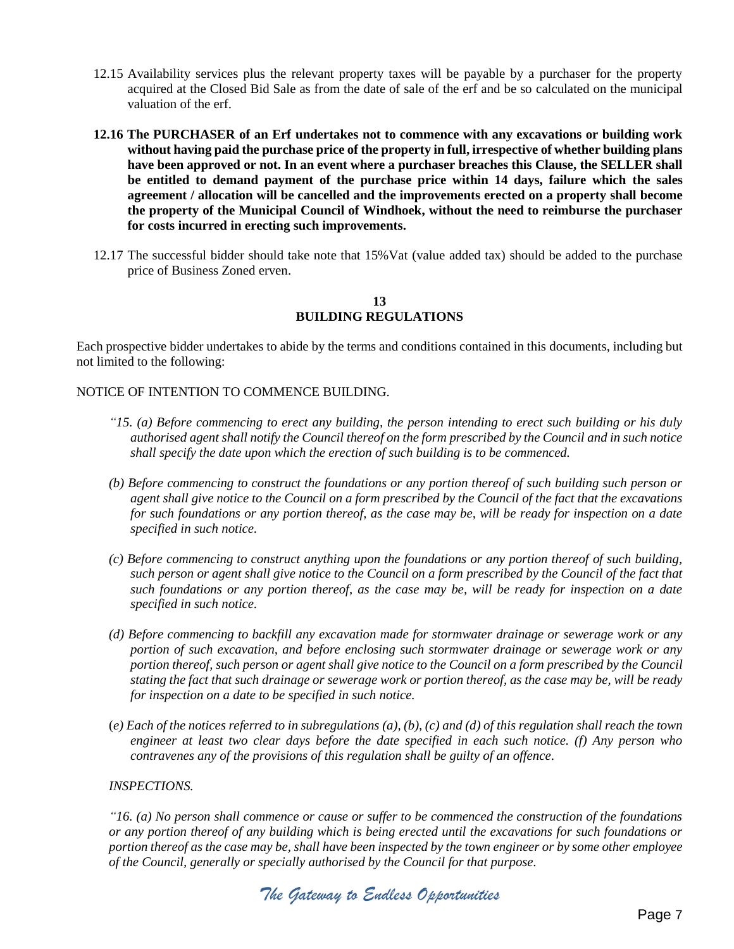- 12.15 Availability services plus the relevant property taxes will be payable by a purchaser for the property acquired at the Closed Bid Sale as from the date of sale of the erf and be so calculated on the municipal valuation of the erf.
- **12.16 The PURCHASER of an Erf undertakes not to commence with any excavations or building work without having paid the purchase price of the property in full, irrespective of whether building plans have been approved or not. In an event where a purchaser breaches this Clause, the SELLER shall be entitled to demand payment of the purchase price within 14 days, failure which the sales agreement / allocation will be cancelled and the improvements erected on a property shall become the property of the Municipal Council of Windhoek, without the need to reimburse the purchaser for costs incurred in erecting such improvements.**
- 12.17 The successful bidder should take note that 15%Vat (value added tax) should be added to the purchase price of Business Zoned erven.

#### **13 BUILDING REGULATIONS**

Each prospective bidder undertakes to abide by the terms and conditions contained in this documents, including but not limited to the following:

#### NOTICE OF INTENTION TO COMMENCE BUILDING.

- *"15. (a) Before commencing to erect any building, the person intending to erect such building or his duly authorised agent shall notify the Council thereof on the form prescribed by the Council and in such notice shall specify the date upon which the erection of such building is to be commenced.*
- *(b) Before commencing to construct the foundations or any portion thereof of such building such person or agent shall give notice to the Council on a form prescribed by the Council of the fact that the excavations for such foundations or any portion thereof, as the case may be, will be ready for inspection on a date specified in such notice.*
- *(c) Before commencing to construct anything upon the foundations or any portion thereof of such building, such person or agent shall give notice to the Council on a form prescribed by the Council of the fact that such foundations or any portion thereof, as the case may be, will be ready for inspection on a date specified in such notice.*
- *(d) Before commencing to backfill any excavation made for stormwater drainage or sewerage work or any portion of such excavation, and before enclosing such stormwater drainage or sewerage work or any portion thereof, such person or agent shall give notice to the Council on a form prescribed by the Council stating the fact that such drainage or sewerage work or portion thereof, as the case may be, will be ready for inspection on a date to be specified in such notice.*
- (*e) Each of the notices referred to in subregulations (a), (b), (c) and (d) of this regulation shall reach the town engineer at least two clear days before the date specified in each such notice. (f) Any person who contravenes any of the provisions of this regulation shall be guilty of an offence.*

#### *INSPECTIONS.*

*"16. (a) No person shall commence or cause or suffer to be commenced the construction of the foundations or any portion thereof of any building which is being erected until the excavations for such foundations or portion thereof as the case may be, shall have been inspected by the town engineer or by some other employee of the Council, generally or specially authorised by the Council for that purpose.*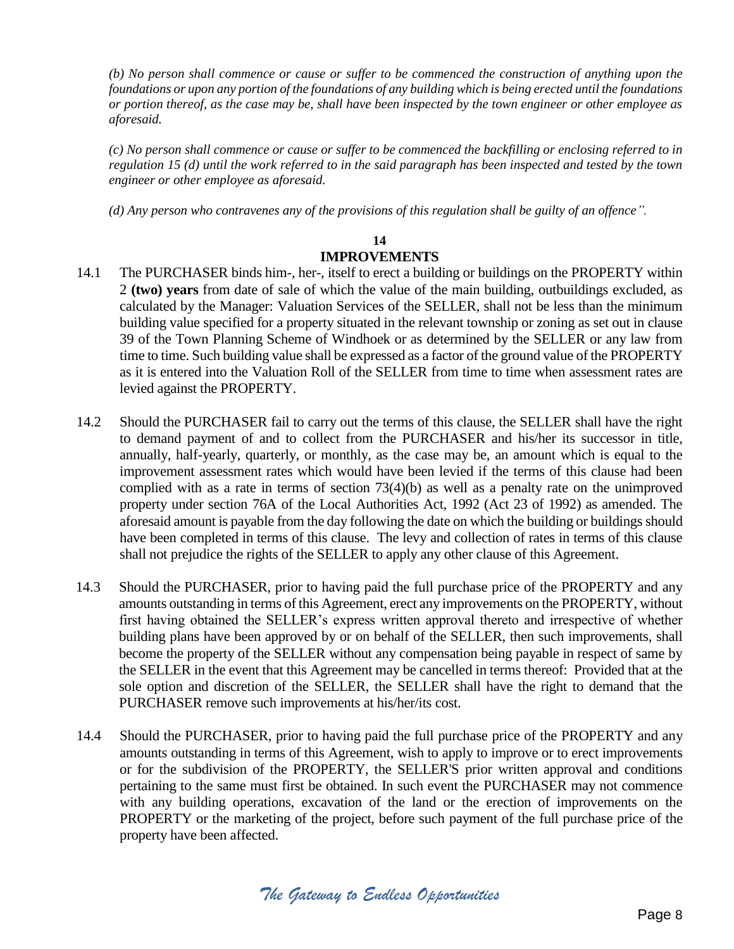*(b) No person shall commence or cause or suffer to be commenced the construction of anything upon the foundations or upon any portion of the foundations of any building which is being erected until the foundations or portion thereof, as the case may be, shall have been inspected by the town engineer or other employee as aforesaid.* 

*(c) No person shall commence or cause or suffer to be commenced the backfilling or enclosing referred to in regulation 15 (d) until the work referred to in the said paragraph has been inspected and tested by the town engineer or other employee as aforesaid.* 

*(d) Any person who contravenes any of the provisions of this regulation shall be guilty of an offence".*

# **14 IMPROVEMENTS**

- 14.1 The PURCHASER binds him-, her-, itself to erect a building or buildings on the PROPERTY within 2 **(two) years** from date of sale of which the value of the main building, outbuildings excluded, as calculated by the Manager: Valuation Services of the SELLER, shall not be less than the minimum building value specified for a property situated in the relevant township or zoning as set out in clause 39 of the Town Planning Scheme of Windhoek or as determined by the SELLER or any law from time to time. Such building value shall be expressed as a factor of the ground value of the PROPERTY as it is entered into the Valuation Roll of the SELLER from time to time when assessment rates are levied against the PROPERTY.
- 14.2 Should the PURCHASER fail to carry out the terms of this clause, the SELLER shall have the right to demand payment of and to collect from the PURCHASER and his/her its successor in title, annually, half-yearly, quarterly, or monthly, as the case may be, an amount which is equal to the improvement assessment rates which would have been levied if the terms of this clause had been complied with as a rate in terms of section 73(4)(b) as well as a penalty rate on the unimproved property under section 76A of the Local Authorities Act, 1992 (Act 23 of 1992) as amended. The aforesaid amount is payable from the day following the date on which the building or buildings should have been completed in terms of this clause. The levy and collection of rates in terms of this clause shall not prejudice the rights of the SELLER to apply any other clause of this Agreement.
- 14.3 Should the PURCHASER, prior to having paid the full purchase price of the PROPERTY and any amounts outstanding in terms of this Agreement, erect any improvements on the PROPERTY, without first having obtained the SELLER's express written approval thereto and irrespective of whether building plans have been approved by or on behalf of the SELLER, then such improvements, shall become the property of the SELLER without any compensation being payable in respect of same by the SELLER in the event that this Agreement may be cancelled in terms thereof: Provided that at the sole option and discretion of the SELLER, the SELLER shall have the right to demand that the PURCHASER remove such improvements at his/her/its cost.
- 14.4 Should the PURCHASER, prior to having paid the full purchase price of the PROPERTY and any amounts outstanding in terms of this Agreement, wish to apply to improve or to erect improvements or for the subdivision of the PROPERTY, the SELLER'S prior written approval and conditions pertaining to the same must first be obtained. In such event the PURCHASER may not commence with any building operations, excavation of the land or the erection of improvements on the PROPERTY or the marketing of the project, before such payment of the full purchase price of the property have been affected.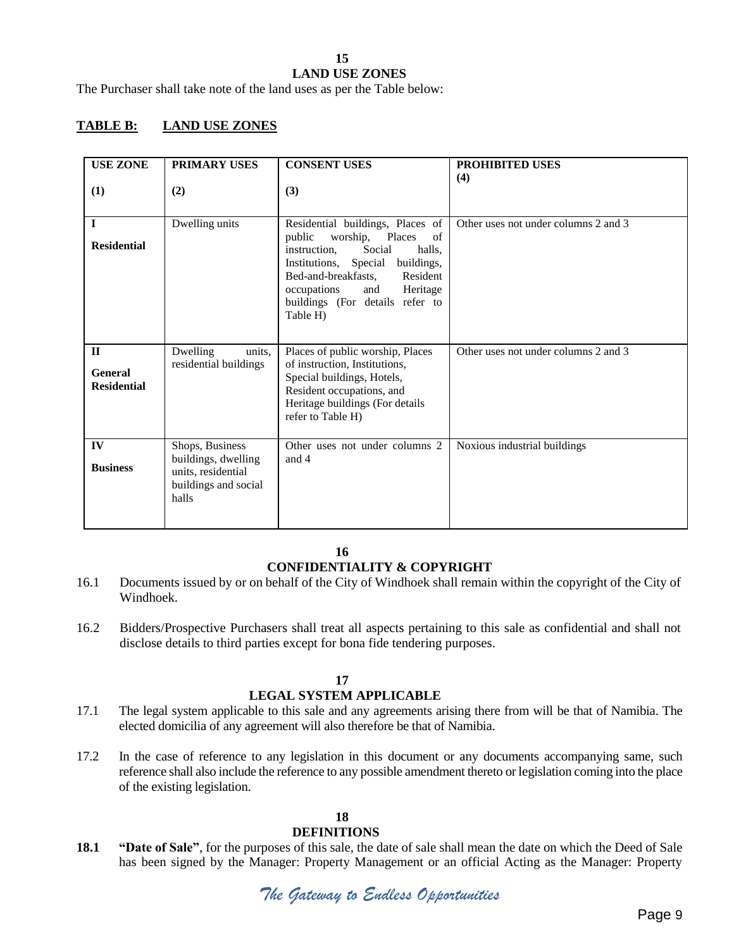#### **15 LAND USE ZONES**

The Purchaser shall take note of the land uses as per the Table below:

# **TABLE B: LAND USE ZONES**

| <b>USE ZONE</b><br>(1)                        | <b>PRIMARY USES</b><br>(2)                                                                    | <b>CONSENT USES</b><br>(3)                                                                                                                                                                                                                                            | <b>PROHIBITED USES</b><br>(4)        |
|-----------------------------------------------|-----------------------------------------------------------------------------------------------|-----------------------------------------------------------------------------------------------------------------------------------------------------------------------------------------------------------------------------------------------------------------------|--------------------------------------|
| $\mathbf{I}$<br><b>Residential</b>            | Dwelling units                                                                                | Residential buildings, Places of<br>worship, Places<br>public<br>of<br>Social<br>instruction,<br>halls.<br>Special<br>buildings,<br>Institutions,<br>Bed-and-breakfasts,<br>Resident<br>occupations<br>and<br>Heritage<br>buildings (For details refer to<br>Table H) | Other uses not under columns 2 and 3 |
| $\mathbf{I}$<br>General<br><b>Residential</b> | Dwelling<br>units,<br>residential buildings                                                   | Places of public worship, Places<br>of instruction, Institutions,<br>Special buildings, Hotels,<br>Resident occupations, and<br>Heritage buildings (For details<br>refer to Table H)                                                                                  | Other uses not under columns 2 and 3 |
| IV<br><b>Business</b>                         | Shops, Business<br>buildings, dwelling<br>units, residential<br>buildings and social<br>halls | Other uses not under columns 2<br>and 4                                                                                                                                                                                                                               | Noxious industrial buildings         |

**16**

# **CONFIDENTIALITY & COPYRIGHT**

- 16.1 Documents issued by or on behalf of the City of Windhoek shall remain within the copyright of the City of Windhoek.
- 16.2 Bidders/Prospective Purchasers shall treat all aspects pertaining to this sale as confidential and shall not disclose details to third parties except for bona fide tendering purposes.

#### **17**

#### **LEGAL SYSTEM APPLICABLE**

- 17.1 The legal system applicable to this sale and any agreements arising there from will be that of Namibia. The elected domicilia of any agreement will also therefore be that of Namibia.
- 17.2 In the case of reference to any legislation in this document or any documents accompanying same, such reference shall also include the reference to any possible amendment thereto or legislation coming into the place of the existing legislation.

#### **18**

#### **DEFINITIONS**

**18.1 "Date of Sale"**, for the purposes of this sale, the date of sale shall mean the date on which the Deed of Sale has been signed by the Manager: Property Management or an official Acting as the Manager: Property